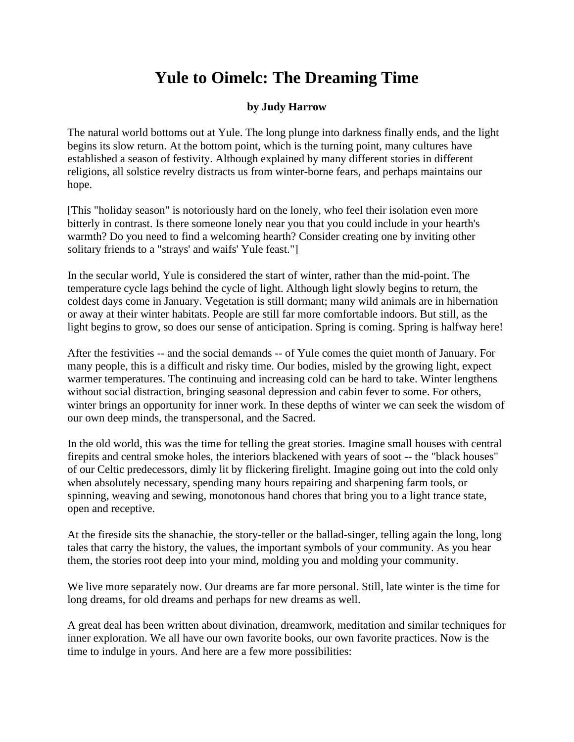## **Yule to Oimelc: The Dreaming Time**

## **by Judy Harrow**

The natural world bottoms out at Yule. The long plunge into darkness finally ends, and the light begins its slow return. At the bottom point, which is the turning point, many cultures have established a season of festivity. Although explained by many different stories in different religions, all solstice revelry distracts us from winter-borne fears, and perhaps maintains our hope.

[This "holiday season" is notoriously hard on the lonely, who feel their isolation even more bitterly in contrast. Is there someone lonely near you that you could include in your hearth's warmth? Do you need to find a welcoming hearth? Consider creating one by inviting other solitary friends to a "strays' and waifs' Yule feast."]

In the secular world, Yule is considered the start of winter, rather than the mid-point. The temperature cycle lags behind the cycle of light. Although light slowly begins to return, the coldest days come in January. Vegetation is still dormant; many wild animals are in hibernation or away at their winter habitats. People are still far more comfortable indoors. But still, as the light begins to grow, so does our sense of anticipation. Spring is coming. Spring is halfway here!

After the festivities -- and the social demands -- of Yule comes the quiet month of January. For many people, this is a difficult and risky time. Our bodies, misled by the growing light, expect warmer temperatures. The continuing and increasing cold can be hard to take. Winter lengthens without social distraction, bringing seasonal depression and cabin fever to some. For others, winter brings an opportunity for inner work. In these depths of winter we can seek the wisdom of our own deep minds, the transpersonal, and the Sacred.

In the old world, this was the time for telling the great stories. Imagine small houses with central firepits and central smoke holes, the interiors blackened with years of soot -- the "black houses" of our Celtic predecessors, dimly lit by flickering firelight. Imagine going out into the cold only when absolutely necessary, spending many hours repairing and sharpening farm tools, or spinning, weaving and sewing, monotonous hand chores that bring you to a light trance state, open and receptive.

At the fireside sits the shanachie, the story-teller or the ballad-singer, telling again the long, long tales that carry the history, the values, the important symbols of your community. As you hear them, the stories root deep into your mind, molding you and molding your community.

We live more separately now. Our dreams are far more personal. Still, late winter is the time for long dreams, for old dreams and perhaps for new dreams as well.

A great deal has been written about divination, dreamwork, meditation and similar techniques for inner exploration. We all have our own favorite books, our own favorite practices. Now is the time to indulge in yours. And here are a few more possibilities: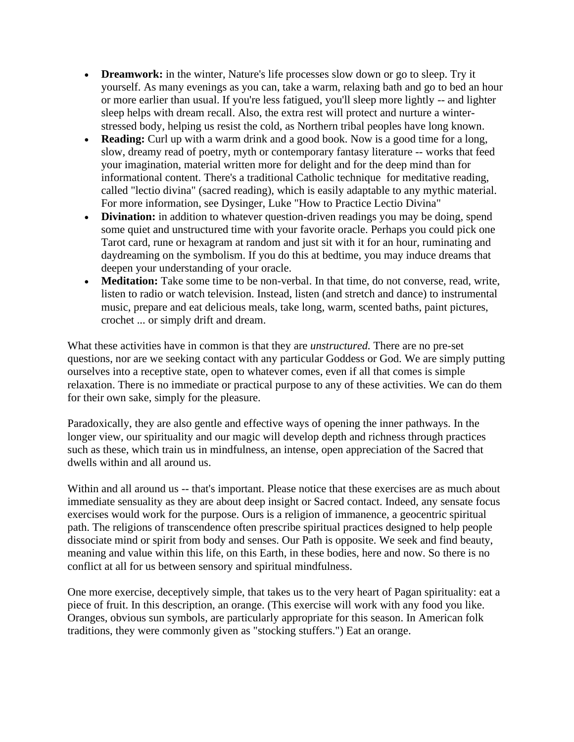- **Dreamwork:** in the winter, Nature's life processes slow down or go to sleep. Try it yourself. As many evenings as you can, take a warm, relaxing bath and go to bed an hour or more earlier than usual. If you're less fatigued, you'll sleep more lightly -- and lighter sleep helps with dream recall. Also, the extra rest will protect and nurture a winterstressed body, helping us resist the cold, as Northern tribal peoples have long known.
- **Reading:** Curl up with a warm drink and a good book. Now is a good time for a long, slow, dreamy read of poetry, myth or contemporary fantasy literature -- works that feed your imagination, material written more for delight and for the deep mind than for informational content. There's a traditional Catholic technique for meditative reading, called "lectio divina" (sacred reading), which is easily adaptable to any mythic material. For more information, see Dysinger, Luke "How to Practice Lectio Divina"
- **Divination:** in addition to whatever question-driven readings you may be doing, spend some quiet and unstructured time with your favorite oracle. Perhaps you could pick one Tarot card, rune or hexagram at random and just sit with it for an hour, ruminating and daydreaming on the symbolism. If you do this at bedtime, you may induce dreams that deepen your understanding of your oracle.
- **Meditation:** Take some time to be non-verbal. In that time, do not converse, read, write, listen to radio or watch television. Instead, listen (and stretch and dance) to instrumental music, prepare and eat delicious meals, take long, warm, scented baths, paint pictures, crochet ... or simply drift and dream.

What these activities have in common is that they are *unstructured.* There are no pre-set questions, nor are we seeking contact with any particular Goddess or God. We are simply putting ourselves into a receptive state, open to whatever comes, even if all that comes is simple relaxation. There is no immediate or practical purpose to any of these activities. We can do them for their own sake, simply for the pleasure.

Paradoxically, they are also gentle and effective ways of opening the inner pathways. In the longer view, our spirituality and our magic will develop depth and richness through practices such as these, which train us in mindfulness, an intense, open appreciation of the Sacred that dwells within and all around us.

Within and all around us -- that's important. Please notice that these exercises are as much about immediate sensuality as they are about deep insight or Sacred contact. Indeed, any sensate focus exercises would work for the purpose. Ours is a religion of immanence, a geocentric spiritual path. The religions of transcendence often prescribe spiritual practices designed to help people dissociate mind or spirit from body and senses. Our Path is opposite. We seek and find beauty, meaning and value within this life, on this Earth, in these bodies, here and now. So there is no conflict at all for us between sensory and spiritual mindfulness.

One more exercise, deceptively simple, that takes us to the very heart of Pagan spirituality: eat a piece of fruit. In this description, an orange. (This exercise will work with any food you like. Oranges, obvious sun symbols, are particularly appropriate for this season. In American folk traditions, they were commonly given as "stocking stuffers.") Eat an orange.